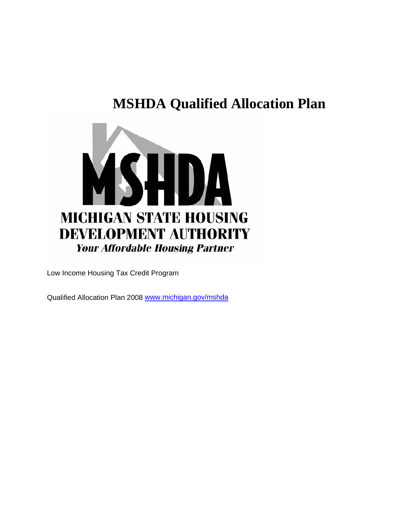# **MSHDA Qualified Allocation Plan**



Low Income Housing Tax Credit Program

Qualified Allocation Plan 2008 [www.michigan.gov/mshda](http://www.michigan.gov/mshda)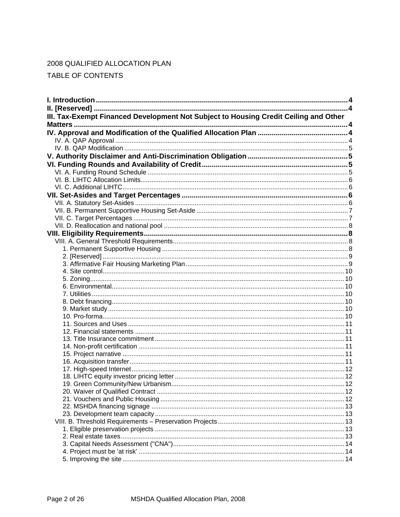# 2008 QUALIFIED ALLOCATION PLAN

TABLE OF CONTENTS

| III. Tax-Exempt Financed Development Not Subject to Housing Credit Ceiling and Other |  |
|--------------------------------------------------------------------------------------|--|
|                                                                                      |  |
|                                                                                      |  |
|                                                                                      |  |
|                                                                                      |  |
|                                                                                      |  |
|                                                                                      |  |
|                                                                                      |  |
|                                                                                      |  |
|                                                                                      |  |
|                                                                                      |  |
|                                                                                      |  |
|                                                                                      |  |
|                                                                                      |  |
|                                                                                      |  |
|                                                                                      |  |
|                                                                                      |  |
|                                                                                      |  |
|                                                                                      |  |
|                                                                                      |  |
|                                                                                      |  |
|                                                                                      |  |
|                                                                                      |  |
|                                                                                      |  |
|                                                                                      |  |
|                                                                                      |  |
|                                                                                      |  |
|                                                                                      |  |
|                                                                                      |  |
|                                                                                      |  |
|                                                                                      |  |
|                                                                                      |  |
|                                                                                      |  |
|                                                                                      |  |
|                                                                                      |  |
|                                                                                      |  |
|                                                                                      |  |
|                                                                                      |  |
|                                                                                      |  |
|                                                                                      |  |
|                                                                                      |  |
|                                                                                      |  |
|                                                                                      |  |
|                                                                                      |  |
|                                                                                      |  |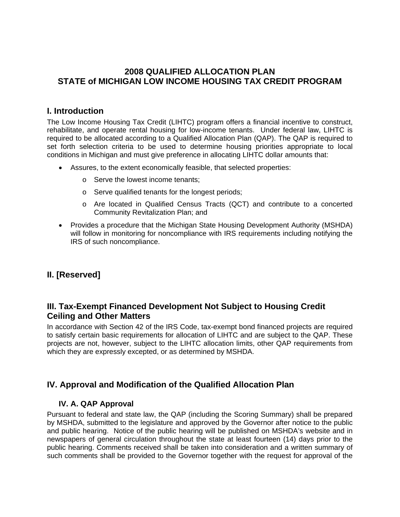## <span id="page-3-0"></span>**2008 QUALIFIED ALLOCATION PLAN STATE of MICHIGAN LOW INCOME HOUSING TAX CREDIT PROGRAM**

## **I. Introduction**

The Low Income Housing Tax Credit (LIHTC) program offers a financial incentive to construct, rehabilitate, and operate rental housing for low-income tenants. Under federal law, LIHTC is required to be allocated according to a Qualified Allocation Plan (QAP). The QAP is required to set forth selection criteria to be used to determine housing priorities appropriate to local conditions in Michigan and must give preference in allocating LIHTC dollar amounts that:

- Assures, to the extent economically feasible, that selected properties:
	- o Serve the lowest income tenants;
	- o Serve qualified tenants for the longest periods;
	- o Are located in Qualified Census Tracts (QCT) and contribute to a concerted Community Revitalization Plan; and
- Provides a procedure that the Michigan State Housing Development Authority (MSHDA) will follow in monitoring for noncompliance with IRS requirements including notifying the IRS of such noncompliance.

# **II. [Reserved]**

# **III. Tax-Exempt Financed Development Not Subject to Housing Credit Ceiling and Other Matters**

In accordance with Section 42 of the IRS Code, tax-exempt bond financed projects are required to satisfy certain basic requirements for allocation of LIHTC and are subject to the QAP. These projects are not, however, subject to the LIHTC allocation limits, other QAP requirements from which they are expressly excepted, or as determined by MSHDA.

## **IV. Approval and Modification of the Qualified Allocation Plan**

### **IV. A. QAP Approval**

Pursuant to federal and state law, the QAP (including the Scoring Summary) shall be prepared by MSHDA, submitted to the legislature and approved by the Governor after notice to the public and public hearing. Notice of the public hearing will be published on MSHDA's website and in newspapers of general circulation throughout the state at least fourteen (14) days prior to the public hearing. Comments received shall be taken into consideration and a written summary of such comments shall be provided to the Governor together with the request for approval of the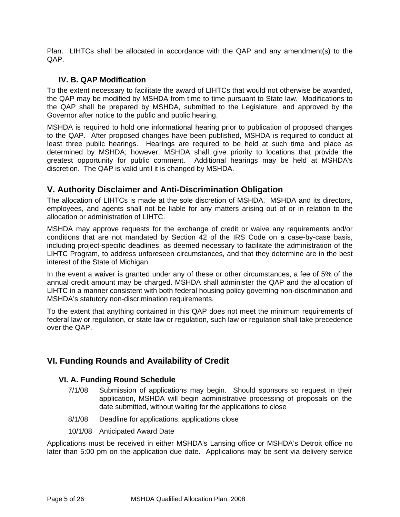<span id="page-4-0"></span>Plan. LIHTCs shall be allocated in accordance with the QAP and any amendment(s) to the  $QAP$ 

#### **IV. B. QAP Modification**

To the extent necessary to facilitate the award of LIHTCs that would not otherwise be awarded, the QAP may be modified by MSHDA from time to time pursuant to State law. Modifications to the QAP shall be prepared by MSHDA, submitted to the Legislature, and approved by the Governor after notice to the public and public hearing.

MSHDA is required to hold one informational hearing prior to publication of proposed changes to the QAP. After proposed changes have been published, MSHDA is required to conduct at least three public hearings. Hearings are required to be held at such time and place as determined by MSHDA; however, MSHDA shall give priority to locations that provide the greatest opportunity for public comment. Additional hearings may be held at MSHDA's discretion. The QAP is valid until it is changed by MSHDA.

## **V. Authority Disclaimer and Anti-Discrimination Obligation**

The allocation of LIHTCs is made at the sole discretion of MSHDA. MSHDA and its directors, employees, and agents shall not be liable for any matters arising out of or in relation to the allocation or administration of LIHTC.

MSHDA may approve requests for the exchange of credit or waive any requirements and/or conditions that are not mandated by Section 42 of the IRS Code on a case-by-case basis, including project-specific deadlines, as deemed necessary to facilitate the administration of the LIHTC Program, to address unforeseen circumstances, and that they determine are in the best interest of the State of Michigan.

In the event a waiver is granted under any of these or other circumstances, a fee of 5% of the annual credit amount may be charged. MSHDA shall administer the QAP and the allocation of LIHTC in a manner consistent with both federal housing policy governing non-discrimination and MSHDA's statutory non-discrimination requirements.

To the extent that anything contained in this QAP does not meet the minimum requirements of federal law or regulation, or state law or regulation, such law or regulation shall take precedence over the QAP.

## **VI. Funding Rounds and Availability of Credit**

### **VI. A. Funding Round Schedule**

- 7/1/08 Submission of applications may begin. Should sponsors so request in their application, MSHDA will begin administrative processing of proposals on the date submitted, without waiting for the applications to close
- 8/1/08 Deadline for applications; applications close
- 10/1/08 Anticipated Award Date

Applications must be received in either MSHDA's Lansing office or MSHDA's Detroit office no later than 5:00 pm on the application due date. Applications may be sent via delivery service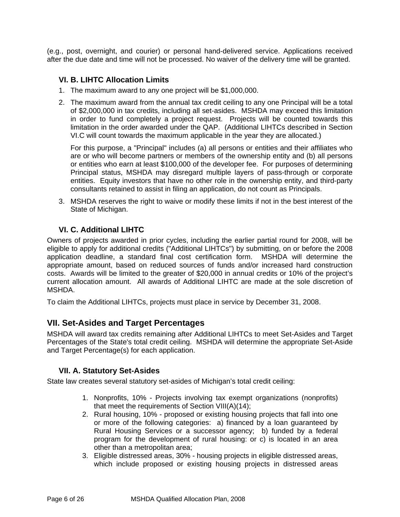<span id="page-5-0"></span>(e.g., post, overnight, and courier) or personal hand-delivered service. Applications received after the due date and time will not be processed. No waiver of the delivery time will be granted.

#### **VI. B. LIHTC Allocation Limits**

- 1. The maximum award to any one project will be \$1,000,000.
- 2. The maximum award from the annual tax credit ceiling to any one Principal will be a total of \$2,000,000 in tax credits, including all set-asides. MSHDA may exceed this limitation in order to fund completely a project request. Projects will be counted towards this limitation in the order awarded under the QAP. (Additional LIHTCs described in Section VI.C will count towards the maximum applicable in the year they are allocated.)

For this purpose, a "Principal" includes (a) all persons or entities and their affiliates who are or who will become partners or members of the ownership entity and (b) all persons or entities who earn at least \$100,000 of the developer fee. For purposes of determining Principal status, MSHDA may disregard multiple layers of pass-through or corporate entities. Equity investors that have no other role in the ownership entity, and third-party consultants retained to assist in filing an application, do not count as Principals.

3. MSHDA reserves the right to waive or modify these limits if not in the best interest of the State of Michigan.

### **VI. C. Additional LIHTC**

Owners of projects awarded in prior cycles, including the earlier partial round for 2008, will be eligible to apply for additional credits ("Additional LIHTCs") by submitting, on or before the 2008 application deadline, a standard final cost certification form. MSHDA will determine the appropriate amount, based on reduced sources of funds and/or increased hard construction costs. Awards will be limited to the greater of \$20,000 in annual credits or 10% of the project's current allocation amount. All awards of Additional LIHTC are made at the sole discretion of MSHDA.

To claim the Additional LIHTCs, projects must place in service by December 31, 2008.

### **VII. Set-Asides and Target Percentages**

MSHDA will award tax credits remaining after Additional LIHTCs to meet Set-Asides and Target Percentages of the State's total credit ceiling. MSHDA will determine the appropriate Set-Aside and Target Percentage(s) for each application.

### **VII. A. Statutory Set-Asides**

State law creates several statutory set-asides of Michigan's total credit ceiling:

- 1. Nonprofits, 10% Projects involving tax exempt organizations (nonprofits) that meet the requirements of Section VIII(A)(14);
- 2. Rural housing, 10% proposed or existing housing projects that fall into one or more of the following categories: a) financed by a loan guaranteed by Rural Housing Services or a successor agency; b) funded by a federal program for the development of rural housing: or c) is located in an area other than a metropolitan area;
- 3. Eligible distressed areas, 30% housing projects in eligible distressed areas, which include proposed or existing housing projects in distressed areas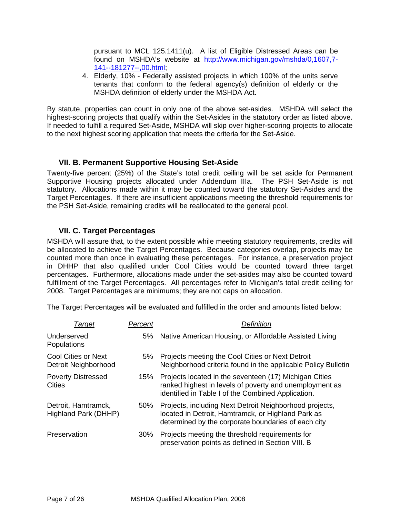<span id="page-6-0"></span>pursuant to MCL 125.1411(u). A list of Eligible Distressed Areas can be found on MSHDA's website at [http://www.michigan.gov/mshda/0,1607,7-](http://www.michigan.gov/mshda/0,1607,7-141--181277--,00.html) [141--181277--,00.html;](http://www.michigan.gov/mshda/0,1607,7-141--181277--,00.html)

4. Elderly, 10% - Federally assisted projects in which 100% of the units serve tenants that conform to the federal agency(s) definition of elderly or the MSHDA definition of elderly under the MSHDA Act.

By statute, properties can count in only one of the above set-asides. MSHDA will select the highest-scoring projects that qualify within the Set-Asides in the statutory order as listed above. If needed to fulfill a required Set-Aside, MSHDA will skip over higher-scoring projects to allocate to the next highest scoring application that meets the criteria for the Set-Aside.

### **VII. B. Permanent Supportive Housing Set-Aside**

Twenty-five percent (25%) of the State's total credit ceiling will be set aside for Permanent Supportive Housing projects allocated under Addendum IIIa. The PSH Set-Aside is not statutory. Allocations made within it may be counted toward the statutory Set-Asides and the Target Percentages. If there are insufficient applications meeting the threshold requirements for the PSH Set-Aside, remaining credits will be reallocated to the general pool.

#### **VII. C. Target Percentages**

MSHDA will assure that, to the extent possible while meeting statutory requirements, credits will be allocated to achieve the Target Percentages. Because categories overlap, projects may be counted more than once in evaluating these percentages. For instance, a preservation project in DHHP that also qualified under Cool Cities would be counted toward three target percentages. Furthermore, allocations made under the set-asides may also be counted toward fulfillment of the Target Percentages. All percentages refer to Michigan's total credit ceiling for 2008. Target Percentages are minimums; they are not caps on allocation.

The Target Percentages will be evaluated and fulfilled in the order and amounts listed below:

| Target                                             | Percent | Definition                                                                                                                                                              |
|----------------------------------------------------|---------|-------------------------------------------------------------------------------------------------------------------------------------------------------------------------|
| Underserved<br>Populations                         | 5%      | Native American Housing, or Affordable Assisted Living                                                                                                                  |
| <b>Cool Cities or Next</b><br>Detroit Neighborhood | 5%      | Projects meeting the Cool Cities or Next Detroit<br>Neighborhood criteria found in the applicable Policy Bulletin                                                       |
| <b>Poverty Distressed</b><br>Cities                | 15%     | Projects located in the seventeen (17) Michigan Cities<br>ranked highest in levels of poverty and unemployment as<br>identified in Table I of the Combined Application. |
| Detroit, Hamtramck,<br>Highland Park (DHHP)        | 50%     | Projects, including Next Detroit Neighborhood projects,<br>located in Detroit, Hamtramck, or Highland Park as<br>determined by the corporate boundaries of each city    |
| Preservation                                       | 30%     | Projects meeting the threshold requirements for<br>preservation points as defined in Section VIII. B                                                                    |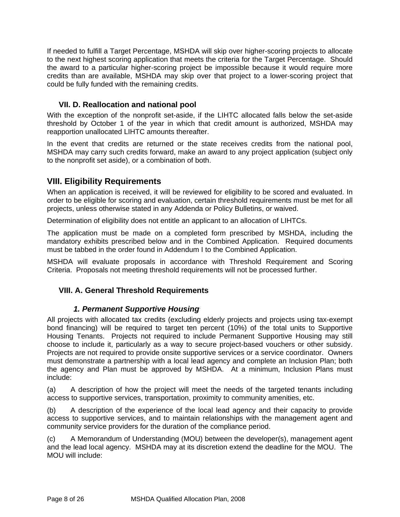<span id="page-7-0"></span>If needed to fulfill a Target Percentage, MSHDA will skip over higher-scoring projects to allocate to the next highest scoring application that meets the criteria for the Target Percentage. Should the award to a particular higher-scoring project be impossible because it would require more credits than are available, MSHDA may skip over that project to a lower-scoring project that could be fully funded with the remaining credits.

# **VII. D. Reallocation and national pool**

With the exception of the nonprofit set-aside, if the LIHTC allocated falls below the set-aside threshold by October 1 of the year in which that credit amount is authorized, MSHDA may reapportion unallocated LIHTC amounts thereafter.

In the event that credits are returned or the state receives credits from the national pool, MSHDA may carry such credits forward, make an award to any project application (subject only to the nonprofit set aside), or a combination of both.

# **VIII. Eligibility Requirements**

When an application is received, it will be reviewed for eligibility to be scored and evaluated. In order to be eligible for scoring and evaluation, certain threshold requirements must be met for all projects, unless otherwise stated in any Addenda or Policy Bulletins, or waived.

Determination of eligibility does not entitle an applicant to an allocation of LIHTCs.

The application must be made on a completed form prescribed by MSHDA, including the mandatory exhibits prescribed below and in the Combined Application. Required documents must be tabbed in the order found in Addendum I to the Combined Application.

MSHDA will evaluate proposals in accordance with Threshold Requirement and Scoring Criteria. Proposals not meeting threshold requirements will not be processed further.

# **VIII. A. General Threshold Requirements**

## *1. Permanent Supportive Housing*.

All projects with allocated tax credits (excluding elderly projects and projects using tax-exempt bond financing) will be required to target ten percent (10%) of the total units to Supportive Housing Tenants. Projects not required to include Permanent Supportive Housing may still choose to include it, particularly as a way to secure project-based vouchers or other subsidy. Projects are not required to provide onsite supportive services or a service coordinator. Owners must demonstrate a partnership with a local lead agency and complete an Inclusion Plan; both the agency and Plan must be approved by MSHDA. At a minimum, Inclusion Plans must include:

(a) A description of how the project will meet the needs of the targeted tenants including access to supportive services, transportation, proximity to community amenities, etc.

(b) A description of the experience of the local lead agency and their capacity to provide access to supportive services, and to maintain relationships with the management agent and community service providers for the duration of the compliance period.

(c) A Memorandum of Understanding (MOU) between the developer(s), management agent and the lead local agency. MSHDA may at its discretion extend the deadline for the MOU. The MOU will include: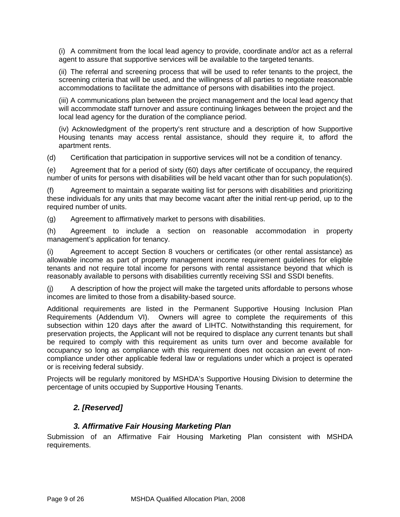<span id="page-8-0"></span>(i) A commitment from the local lead agency to provide, coordinate and/or act as a referral agent to assure that supportive services will be available to the targeted tenants.

(ii) The referral and screening process that will be used to refer tenants to the project, the screening criteria that will be used, and the willingness of all parties to negotiate reasonable accommodations to facilitate the admittance of persons with disabilities into the project.

(iii) A communications plan between the project management and the local lead agency that will accommodate staff turnover and assure continuing linkages between the project and the local lead agency for the duration of the compliance period.

(iv) Acknowledgment of the property's rent structure and a description of how Supportive Housing tenants may access rental assistance, should they require it, to afford the apartment rents.

(d) Certification that participation in supportive services will not be a condition of tenancy.

(e) Agreement that for a period of sixty (60) days after certificate of occupancy, the required number of units for persons with disabilities will be held vacant other than for such population(s).

(f) Agreement to maintain a separate waiting list for persons with disabilities and prioritizing these individuals for any units that may become vacant after the initial rent-up period, up to the required number of units.

(g) Agreement to affirmatively market to persons with disabilities.

(h) Agreement to include a section on reasonable accommodation in property management's application for tenancy.

(i) Agreement to accept Section 8 vouchers or certificates (or other rental assistance) as allowable income as part of property management income requirement guidelines for eligible tenants and not require total income for persons with rental assistance beyond that which is reasonably available to persons with disabilities currently receiving SSI and SSDI benefits.

(j) A description of how the project will make the targeted units affordable to persons whose incomes are limited to those from a disability-based source.

Additional requirements are listed in the Permanent Supportive Housing Inclusion Plan Requirements (Addendum VI). Owners will agree to complete the requirements of this subsection within 120 days after the award of LIHTC. Notwithstanding this requirement, for preservation projects, the Applicant will not be required to displace any current tenants but shall be required to comply with this requirement as units turn over and become available for occupancy so long as compliance with this requirement does not occasion an event of noncompliance under other applicable federal law or regulations under which a project is operated or is receiving federal subsidy.

Projects will be regularly monitored by MSHDA's Supportive Housing Division to determine the percentage of units occupied by Supportive Housing Tenants.

# *2. [Reserved]*

### *3. Affirmative Fair Housing Marketing Plan*

Submission of an Affirmative Fair Housing Marketing Plan consistent with MSHDA requirements.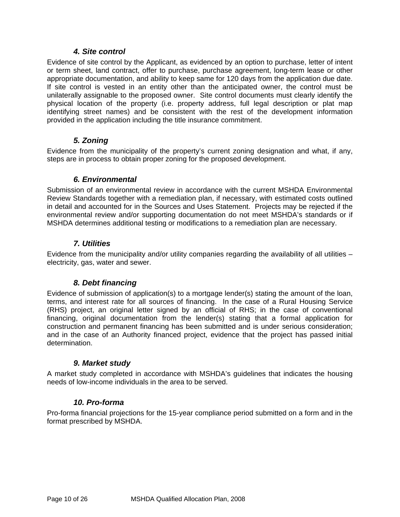### *4. Site control*

<span id="page-9-0"></span>Evidence of site control by the Applicant, as evidenced by an option to purchase, letter of intent or term sheet, land contract, offer to purchase, purchase agreement, long-term lease or other appropriate documentation, and ability to keep same for 120 days from the application due date. If site control is vested in an entity other than the anticipated owner, the control must be unilaterally assignable to the proposed owner. Site control documents must clearly identify the physical location of the property (i.e. property address, full legal description or plat map identifying street names) and be consistent with the rest of the development information provided in the application including the title insurance commitment.

### *5. Zoning*

Evidence from the municipality of the property's current zoning designation and what, if any, steps are in process to obtain proper zoning for the proposed development.

### *6. Environmental*

Submission of an environmental review in accordance with the current MSHDA Environmental Review Standards together with a remediation plan, if necessary, with estimated costs outlined in detail and accounted for in the Sources and Uses Statement. Projects may be rejected if the environmental review and/or supporting documentation do not meet MSHDA's standards or if MSHDA determines additional testing or modifications to a remediation plan are necessary.

### *7. Utilities*

Evidence from the municipality and/or utility companies regarding the availability of all utilities – electricity, gas, water and sewer.

### *8. Debt financing*

Evidence of submission of application(s) to a mortgage lender(s) stating the amount of the loan, terms, and interest rate for all sources of financing. In the case of a Rural Housing Service (RHS) project, an original letter signed by an official of RHS; in the case of conventional financing, original documentation from the lender(s) stating that a formal application for construction and permanent financing has been submitted and is under serious consideration; and in the case of an Authority financed project, evidence that the project has passed initial determination.

#### *9. Market study*

A market study completed in accordance with MSHDA's guidelines that indicates the housing needs of low-income individuals in the area to be served.

#### *10. Pro-forma*

Pro-forma financial projections for the 15-year compliance period submitted on a form and in the format prescribed by MSHDA.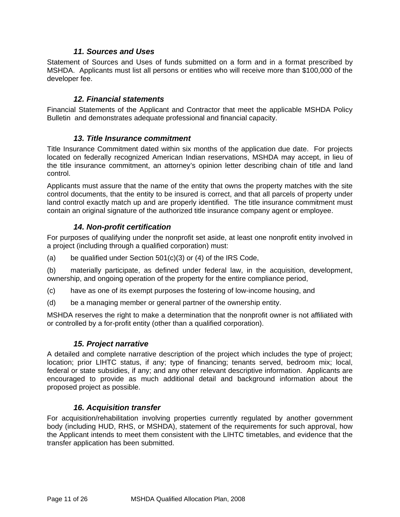### *11. Sources and Uses*

<span id="page-10-0"></span>Statement of Sources and Uses of funds submitted on a form and in a format prescribed by MSHDA. Applicants must list all persons or entities who will receive more than \$100,000 of the developer fee.

#### *12. Financial statements*

Financial Statements of the Applicant and Contractor that meet the applicable MSHDA Policy Bulletin and demonstrates adequate professional and financial capacity.

#### *13. Title Insurance commitment*

Title Insurance Commitment dated within six months of the application due date. For projects located on federally recognized American Indian reservations, MSHDA may accept, in lieu of the title insurance commitment, an attorney's opinion letter describing chain of title and land control.

Applicants must assure that the name of the entity that owns the property matches with the site control documents, that the entity to be insured is correct, and that all parcels of property under land control exactly match up and are properly identified. The title insurance commitment must contain an original signature of the authorized title insurance company agent or employee.

### *14. Non-profit certification*

For purposes of qualifying under the nonprofit set aside, at least one nonprofit entity involved in a project (including through a qualified corporation) must:

(a) be qualified under Section 501(c)(3) or (4) of the IRS Code,

(b) materially participate, as defined under federal law, in the acquisition, development, ownership, and ongoing operation of the property for the entire compliance period,

- (c) have as one of its exempt purposes the fostering of low-income housing, and
- (d) be a managing member or general partner of the ownership entity.

MSHDA reserves the right to make a determination that the nonprofit owner is not affiliated with or controlled by a for-profit entity (other than a qualified corporation).

#### *15. Project narrative*

A detailed and complete narrative description of the project which includes the type of project; location; prior LIHTC status, if any; type of financing; tenants served, bedroom mix; local, federal or state subsidies, if any; and any other relevant descriptive information. Applicants are encouraged to provide as much additional detail and background information about the proposed project as possible.

#### *16. Acquisition transfer*

For acquisition/rehabilitation involving properties currently regulated by another government body (including HUD, RHS, or MSHDA), statement of the requirements for such approval, how the Applicant intends to meet them consistent with the LIHTC timetables, and evidence that the transfer application has been submitted.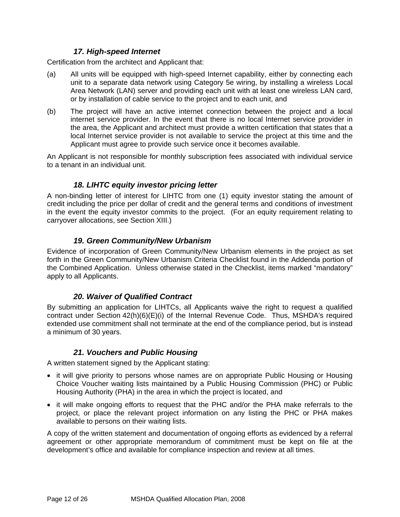### *17. High-speed Internet*

<span id="page-11-0"></span>Certification from the architect and Applicant that:

- (a) All units will be equipped with high-speed Internet capability, either by connecting each unit to a separate data network using Category 5e wiring, by installing a wireless Local Area Network (LAN) server and providing each unit with at least one wireless LAN card, or by installation of cable service to the project and to each unit, and
- (b) The project will have an active internet connection between the project and a local internet service provider. In the event that there is no local Internet service provider in the area, the Applicant and architect must provide a written certification that states that a local Internet service provider is not available to service the project at this time and the Applicant must agree to provide such service once it becomes available.

An Applicant is not responsible for monthly subscription fees associated with individual service to a tenant in an individual unit.

### *18. LIHTC equity investor pricing letter*

A non-binding letter of interest for LIHTC from one (1) equity investor stating the amount of credit including the price per dollar of credit and the general terms and conditions of investment in the event the equity investor commits to the project. (For an equity requirement relating to carryover allocations, see Section [XIII](#page-19-1).)

#### *19. Green Community/New Urbanism*

Evidence of incorporation of Green Community/New Urbanism elements in the project as set forth in the Green Community/New Urbanism Criteria Checklist found in the Addenda portion of the Combined Application. Unless otherwise stated in the Checklist, items marked "mandatory" apply to all Applicants.

### *20. Waiver of Qualified Contract*

By submitting an application for LIHTCs, all Applicants waive the right to request a qualified contract under Section 42(h)(6)(E)(i) of the Internal Revenue Code. Thus, MSHDA's required extended use commitment shall not terminate at the end of the compliance period, but is instead a minimum of 30 years.

### *21. Vouchers and Public Housing*

A written statement signed by the Applicant stating:

- it will give priority to persons whose names are on appropriate Public Housing or Housing Choice Voucher waiting lists maintained by a Public Housing Commission (PHC) or Public Housing Authority (PHA) in the area in which the project is located, and
- it will make ongoing efforts to request that the PHC and/or the PHA make referrals to the project, or place the relevant project information on any listing the PHC or PHA makes available to persons on their waiting lists.

A copy of the written statement and documentation of ongoing efforts as evidenced by a referral agreement or other appropriate memorandum of commitment must be kept on file at the development's office and available for compliance inspection and review at all times.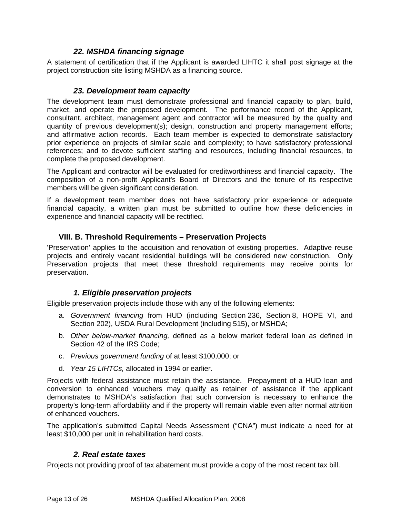## *22. MSHDA financing signage*

<span id="page-12-0"></span>A statement of certification that if the Applicant is awarded LIHTC it shall post signage at the project construction site listing MSHDA as a financing source.

#### *23. Development team capacity*

The development team must demonstrate professional and financial capacity to plan, build, market, and operate the proposed development. The performance record of the Applicant, consultant, architect, management agent and contractor will be measured by the quality and quantity of previous development(s); design, construction and property management efforts; and affirmative action records. Each team member is expected to demonstrate satisfactory prior experience on projects of similar scale and complexity; to have satisfactory professional references; and to devote sufficient staffing and resources, including financial resources, to complete the proposed development.

The Applicant and contractor will be evaluated for creditworthiness and financial capacity. The composition of a non-profit Applicant's Board of Directors and the tenure of its respective members will be given significant consideration.

If a development team member does not have satisfactory prior experience or adequate financial capacity, a written plan must be submitted to outline how these deficiencies in experience and financial capacity will be rectified.

## **VIII. B. Threshold Requirements – Preservation Projects**

<span id="page-12-1"></span>'Preservation' applies to the acquisition and renovation of existing properties. Adaptive reuse projects and entirely vacant residential buildings will be considered new construction. Only Preservation projects that meet these threshold requirements may receive points for preservation.

### *1. Eligible preservation projects*

Eligible preservation projects include those with any of the following elements:

- a. *Government financing* from HUD (including Section 236, Section 8, HOPE VI, and Section 202), USDA Rural Development (including 515), or MSHDA;
- b. *Other below-market financing,* defined as a below market federal loan as defined in Section 42 of the IRS Code;
- c. *Previous government funding* of at least \$100,000; or
- d. *Year 15 LIHTCs,* allocated in 1994 or earlier.

Projects with federal assistance must retain the assistance. Prepayment of a HUD loan and conversion to enhanced vouchers may qualify as retainer of assistance if the applicant demonstrates to MSHDA's satisfaction that such conversion is necessary to enhance the property's long-term affordability and if the property will remain viable even after normal attrition of enhanced vouchers.

The application's submitted Capital Needs Assessment ("CNA") must indicate a need for at least \$10,000 per unit in rehabilitation hard costs.

### *2. Real estate taxes*

Projects not providing proof of tax abatement must provide a copy of the most recent tax bill.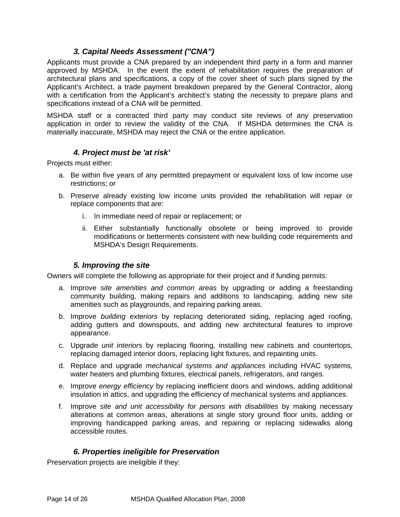## *3. Capital Needs Assessment ("CNA")*

<span id="page-13-0"></span>Applicants must provide a CNA prepared by an independent third party in a form and manner approved by MSHDA. In the event the extent of rehabilitation requires the preparation of architectural plans and specifications, a copy of the cover sheet of such plans signed by the Applicant's Architect, a trade payment breakdown prepared by the General Contractor, along with a certification from the Applicant's architect's stating the necessity to prepare plans and specifications instead of a CNA will be permitted.

MSHDA staff or a contracted third party may conduct site reviews of any preservation application in order to review the validity of the CNA. If MSHDA determines the CNA is materially inaccurate, MSHDA may reject the CNA or the entire application.

## *4. Project must be 'at risk'*

Projects must either:

- a. Be within five years of any permitted prepayment or equivalent loss of low income use restrictions; or
- b. Preserve already existing low income units provided the rehabilitation will repair or replace components that are:
	- i. In immediate need of repair or replacement; or
	- ii. Either substantially functionally obsolete or being improved to provide modifications or betterments consistent with new building code requirements and MSHDA's Design Requirements.

### *5. Improving the site*

Owners will complete the following as appropriate for their project and if funding permits:

- a. Improve *site amenities and common areas* by upgrading or adding a freestanding community building, making repairs and additions to landscaping, adding new site amenities such as playgrounds, and repairing parking areas.
- b. Improve *building exteriors* by replacing deteriorated siding, replacing aged roofing, adding gutters and downspouts, and adding new architectural features to improve appearance.
- c. Upgrade *unit interiors* by replacing flooring, installing new cabinets and countertops, replacing damaged interior doors, replacing light fixtures, and repainting units.
- d. Replace and upgrade *mechanical systems and appliances* including HVAC systems, water heaters and plumbing fixtures, electrical panels, refrigerators, and ranges.
- e. Improve *energy efficiency* by replacing inefficient doors and windows, adding additional insulation in attics, and upgrading the efficiency of mechanical systems and appliances.
- f. Improve *site and unit accessibility for persons with disabilities* by making necessary alterations at common areas, alterations at single story ground floor units, adding or improving handicapped parking areas, and repairing or replacing sidewalks along accessible routes.

## *6. Properties ineligible for Preservation*

Preservation projects are ineligible if they: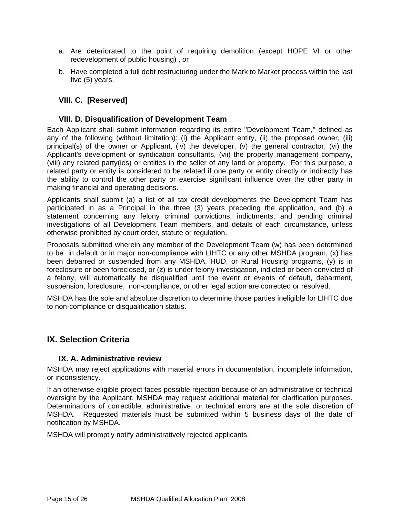- <span id="page-14-0"></span>a. Are deteriorated to the point of requiring demolition (except HOPE VI or other redevelopment of public housing) , or
- b. Have completed a full debt restructuring under the Mark to Market process within the last five (5) years.

## **VIII. C. [Reserved]**

#### **VIII. D. Disqualification of Development Team**

Each Applicant shall submit information regarding its entire "Development Team," defined as any of the following (without limitation): (i) the Applicant entity, (ii) the proposed owner, (iii) principal(s) of the owner or Applicant, (iv) the developer, (v) the general contractor, (vi) the Applicant's development or syndication consultants, (vii) the property management company, (viii) any related party(ies) or entities in the seller of any land or property. For this purpose, a related party or entity is considered to be related if one party or entity directly or indirectly has the ability to control the other party or exercise significant influence over the other party in making financial and operating decisions.

Applicants shall submit (a) a list of all tax credit developments the Development Team has participated in as a Principal in the three (3) years preceding the application, and (b) a statement concerning any felony criminal convictions, indictments, and pending criminal investigations of all Development Team members, and details of each circumstance, unless otherwise prohibited by court order, statute or regulation.

Proposals submitted wherein any member of the Development Team (w) has been determined to be in default or in major non-compliance with LIHTC or any other MSHDA program, (x) has been debarred or suspended from any MSHDA, HUD, or Rural Housing programs, (y) is in foreclosure or been foreclosed, or (z) is under felony investigation, indicted or been convicted of a felony, will automatically be disqualified until the event or events of default, debarment, suspension, foreclosure, non-compliance, or other legal action are corrected or resolved.

MSHDA has the sole and absolute discretion to determine those parties ineligible for LIHTC due to non-compliance or disqualification status.

### **IX. Selection Criteria**

#### **IX. A. Administrative review**

MSHDA may reject applications with material errors in documentation, incomplete information, or inconsistency.

If an otherwise eligible project faces possible rejection because of an administrative or technical oversight by the Applicant, MSHDA may request additional material for clarification purposes. Determinations of correctible, administrative, or technical errors are at the sole discretion of MSHDA. Requested materials must be submitted within 5 business days of the date of notification by MSHDA.

MSHDA will promptly notify administratively rejected applicants.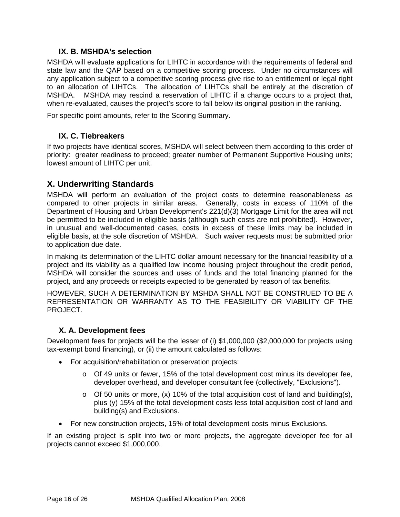#### **IX. B. MSHDA's selection**

<span id="page-15-0"></span>MSHDA will evaluate applications for LIHTC in accordance with the requirements of federal and state law and the QAP based on a competitive scoring process. Under no circumstances will any application subject to a competitive scoring process give rise to an entitlement or legal right to an allocation of LIHTCs. The allocation of LIHTCs shall be entirely at the discretion of MSHDA. MSHDA may rescind a reservation of LIHTC if a change occurs to a project that, when re-evaluated, causes the project's score to fall below its original position in the ranking.

For specific point amounts, refer to the Scoring Summary.

### **IX. C. Tiebreakers**

If two projects have identical scores, MSHDA will select between them according to this order of priority: greater readiness to proceed; greater number of Permanent Supportive Housing units; lowest amount of LIHTC per unit.

## **X. Underwriting Standards**

MSHDA will perform an evaluation of the project costs to determine reasonableness as compared to other projects in similar areas. Generally, costs in excess of 110% of the Department of Housing and Urban Development's 221(d)(3) Mortgage Limit for the area will not be permitted to be included in eligible basis (although such costs are not prohibited). However, in unusual and well-documented cases, costs in excess of these limits may be included in eligible basis, at the sole discretion of MSHDA. Such waiver requests must be submitted prior to application due date.

In making its determination of the LIHTC dollar amount necessary for the financial feasibility of a project and its viability as a qualified low income housing project throughout the credit period, MSHDA will consider the sources and uses of funds and the total financing planned for the project, and any proceeds or receipts expected to be generated by reason of tax benefits.

HOWEVER, SUCH A DETERMINATION BY MSHDA SHALL NOT BE CONSTRUED TO BE A REPRESENTATION OR WARRANTY AS TO THE FEASIBILITY OR VIABILITY OF THE PROJECT.

### **X. A. Development fees**

Development fees for projects will be the lesser of (i) \$1,000,000 (\$2,000,000 for projects using tax-exempt bond financing), or (ii) the amount calculated as follows:

- For acquisition/rehabilitation or preservation projects:
	- o Of 49 units or fewer, 15% of the total development cost minus its developer fee, developer overhead, and developer consultant fee (collectively, "Exclusions").
	- $\circ$  Of 50 units or more, (x) 10% of the total acquisition cost of land and building(s), plus (y) 15% of the total development costs less total acquisition cost of land and building(s) and Exclusions.
- For new construction projects, 15% of total development costs minus Exclusions.

If an existing project is split into two or more projects, the aggregate developer fee for all projects cannot exceed \$1,000,000.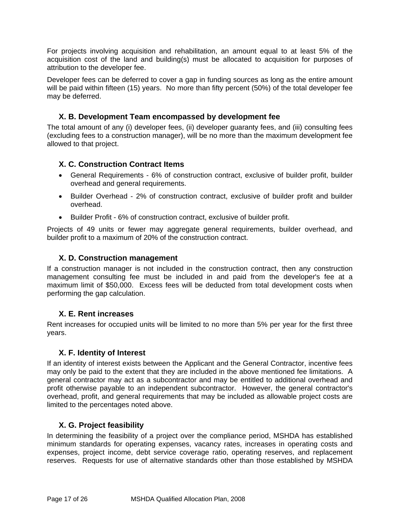<span id="page-16-0"></span>For projects involving acquisition and rehabilitation, an amount equal to at least 5% of the acquisition cost of the land and building(s) must be allocated to acquisition for purposes of attribution to the developer fee.

Developer fees can be deferred to cover a gap in funding sources as long as the entire amount will be paid within fifteen (15) years. No more than fifty percent (50%) of the total developer fee may be deferred.

## **X. B. Development Team encompassed by development fee**

The total amount of any (i) developer fees, (ii) developer guaranty fees, and (iii) consulting fees (excluding fees to a construction manager), will be no more than the maximum development fee allowed to that project.

## **X. C. Construction Contract Items**

- General Requirements 6% of construction contract, exclusive of builder profit, builder overhead and general requirements.
- Builder Overhead 2% of construction contract, exclusive of builder profit and builder overhead.
- Builder Profit 6% of construction contract, exclusive of builder profit.

Projects of 49 units or fewer may aggregate general requirements, builder overhead, and builder profit to a maximum of 20% of the construction contract.

## **X. D. Construction management**

If a construction manager is not included in the construction contract, then any construction management consulting fee must be included in and paid from the developer's fee at a maximum limit of \$50,000. Excess fees will be deducted from total development costs when performing the gap calculation.

### **X. E. Rent increases**

Rent increases for occupied units will be limited to no more than 5% per year for the first three years.

### **X. F. Identity of Interest**

If an identity of interest exists between the Applicant and the General Contractor, incentive fees may only be paid to the extent that they are included in the above mentioned fee limitations. A general contractor may act as a subcontractor and may be entitled to additional overhead and profit otherwise payable to an independent subcontractor. However, the general contractor's overhead, profit, and general requirements that may be included as allowable project costs are limited to the percentages noted above.

## **X. G. Project feasibility**

In determining the feasibility of a project over the compliance period, MSHDA has established minimum standards for operating expenses, vacancy rates, increases in operating costs and expenses, project income, debt service coverage ratio, operating reserves, and replacement reserves. Requests for use of alternative standards other than those established by MSHDA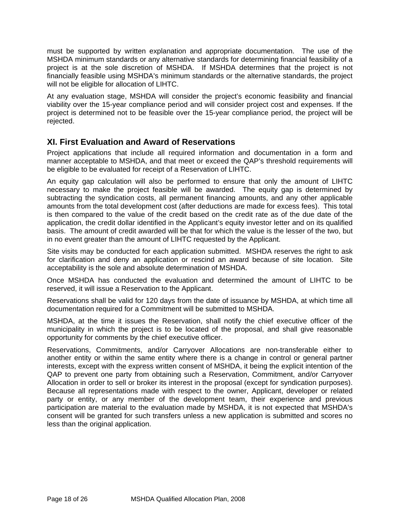<span id="page-17-0"></span>must be supported by written explanation and appropriate documentation. The use of the MSHDA minimum standards or any alternative standards for determining financial feasibility of a project is at the sole discretion of MSHDA. If MSHDA determines that the project is not financially feasible using MSHDA's minimum standards or the alternative standards, the project will not be eligible for allocation of LIHTC.

At any evaluation stage, MSHDA will consider the project's economic feasibility and financial viability over the 15-year compliance period and will consider project cost and expenses. If the project is determined not to be feasible over the 15-year compliance period, the project will be rejected.

# **XI. First Evaluation and Award of Reservations**

Project applications that include all required information and documentation in a form and manner acceptable to MSHDA, and that meet or exceed the QAP's threshold requirements will be eligible to be evaluated for receipt of a Reservation of LIHTC.

An equity gap calculation will also be performed to ensure that only the amount of LIHTC necessary to make the project feasible will be awarded. The equity gap is determined by subtracting the syndication costs, all permanent financing amounts, and any other applicable amounts from the total development cost (after deductions are made for excess fees). This total is then compared to the value of the credit based on the credit rate as of the due date of the application, the credit dollar identified in the Applicant's equity investor letter and on its qualified basis. The amount of credit awarded will be that for which the value is the lesser of the two, but in no event greater than the amount of LIHTC requested by the Applicant.

Site visits may be conducted for each application submitted. MSHDA reserves the right to ask for clarification and deny an application or rescind an award because of site location. Site acceptability is the sole and absolute determination of MSHDA.

Once MSHDA has conducted the evaluation and determined the amount of LIHTC to be reserved, it will issue a Reservation to the Applicant.

Reservations shall be valid for 120 days from the date of issuance by MSHDA, at which time all documentation required for a Commitment will be submitted to MSHDA.

MSHDA, at the time it issues the Reservation, shall notify the chief executive officer of the municipality in which the project is to be located of the proposal, and shall give reasonable opportunity for comments by the chief executive officer.

Reservations, Commitments, and/or Carryover Allocations are non-transferable either to another entity or within the same entity where there is a change in control or general partner interests, except with the express written consent of MSHDA, it being the explicit intention of the QAP to prevent one party from obtaining such a Reservation, Commitment, and/or Carryover Allocation in order to sell or broker its interest in the proposal (except for syndication purposes). Because all representations made with respect to the owner, Applicant, developer or related party or entity, or any member of the development team, their experience and previous participation are material to the evaluation made by MSHDA, it is not expected that MSHDA's consent will be granted for such transfers unless a new application is submitted and scores no less than the original application.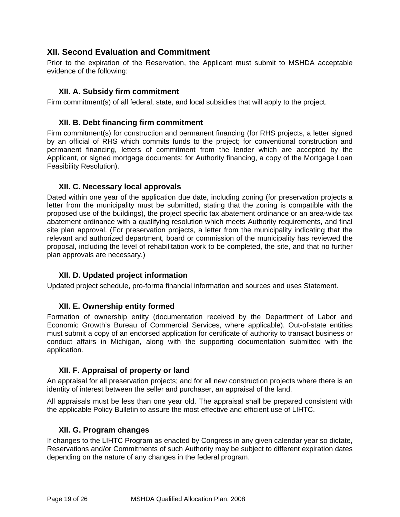# <span id="page-18-0"></span>**XII. Second Evaluation and Commitment**

Prior to the expiration of the Reservation, the Applicant must submit to MSHDA acceptable evidence of the following:

## **XII. A. Subsidy firm commitment**

Firm commitment(s) of all federal, state, and local subsidies that will apply to the project.

### **XII. B. Debt financing firm commitment**

Firm commitment(s) for construction and permanent financing (for RHS projects, a letter signed by an official of RHS which commits funds to the project; for conventional construction and permanent financing, letters of commitment from the lender which are accepted by the Applicant, or signed mortgage documents; for Authority financing, a copy of the Mortgage Loan Feasibility Resolution).

### **XII. C. Necessary local approvals**

Dated within one year of the application due date, including zoning (for preservation projects a letter from the municipality must be submitted, stating that the zoning is compatible with the proposed use of the buildings), the project specific tax abatement ordinance or an area-wide tax abatement ordinance with a qualifying resolution which meets Authority requirements, and final site plan approval. (For preservation projects, a letter from the municipality indicating that the relevant and authorized department, board or commission of the municipality has reviewed the proposal, including the level of rehabilitation work to be completed, the site, and that no further plan approvals are necessary.)

### **XII. D. Updated project information**

Updated project schedule, pro-forma financial information and sources and uses Statement.

### **XII. E. Ownership entity formed**

Formation of ownership entity (documentation received by the Department of Labor and Economic Growth's Bureau of Commercial Services, where applicable). Out-of-state entities must submit a copy of an endorsed application for certificate of authority to transact business or conduct affairs in Michigan, along with the supporting documentation submitted with the application.

### **XII. F. Appraisal of property or land**

An appraisal for all preservation projects; and for all new construction projects where there is an identity of interest between the seller and purchaser, an appraisal of the land.

All appraisals must be less than one year old. The appraisal shall be prepared consistent with the applicable Policy Bulletin to assure the most effective and efficient use of LIHTC.

### **XII. G. Program changes**

If changes to the LIHTC Program as enacted by Congress in any given calendar year so dictate, Reservations and/or Commitments of such Authority may be subject to different expiration dates depending on the nature of any changes in the federal program.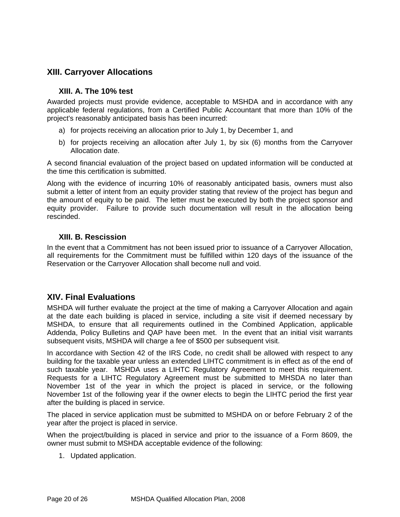# <span id="page-19-1"></span><span id="page-19-0"></span>**XIII. Carryover Allocations**

#### **XIII. A. The 10% test**

Awarded projects must provide evidence, acceptable to MSHDA and in accordance with any applicable federal regulations, from a Certified Public Accountant that more than 10% of the project's reasonably anticipated basis has been incurred:

- a) for projects receiving an allocation prior to July 1, by December 1, and
- b) for projects receiving an allocation after July 1, by six (6) months from the Carryover Allocation date.

A second financial evaluation of the project based on updated information will be conducted at the time this certification is submitted.

Along with the evidence of incurring 10% of reasonably anticipated basis, owners must also submit a letter of intent from an equity provider stating that review of the project has begun and the amount of equity to be paid. The letter must be executed by both the project sponsor and equity provider. Failure to provide such documentation will result in the allocation being rescinded.

### **XIII. B. Rescission**

In the event that a Commitment has not been issued prior to issuance of a Carryover Allocation, all requirements for the Commitment must be fulfilled within 120 days of the issuance of the Reservation or the Carryover Allocation shall become null and void.

## **XIV. Final Evaluations**

MSHDA will further evaluate the project at the time of making a Carryover Allocation and again at the date each building is placed in service, including a site visit if deemed necessary by MSHDA, to ensure that all requirements outlined in the Combined Application, applicable Addenda, Policy Bulletins and QAP have been met. In the event that an initial visit warrants subsequent visits, MSHDA will charge a fee of \$500 per subsequent visit.

In accordance with Section 42 of the IRS Code, no credit shall be allowed with respect to any building for the taxable year unless an extended LIHTC commitment is in effect as of the end of such taxable year. MSHDA uses a LIHTC Regulatory Agreement to meet this requirement. Requests for a LIHTC Regulatory Agreement must be submitted to MHSDA no later than November 1st of the year in which the project is placed in service, or the following November 1st of the following year if the owner elects to begin the LIHTC period the first year after the building is placed in service.

The placed in service application must be submitted to MSHDA on or before February 2 of the year after the project is placed in service.

When the project/building is placed in service and prior to the issuance of a Form 8609, the owner must submit to MSHDA acceptable evidence of the following:

1. Updated application.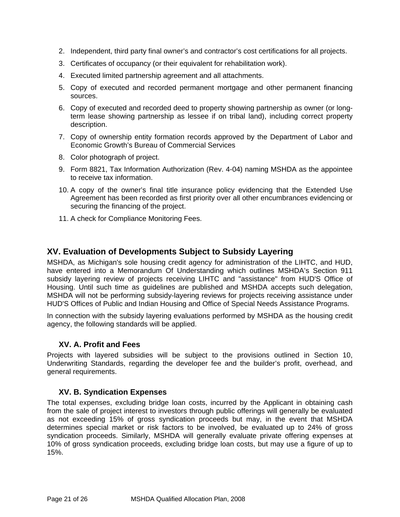- <span id="page-20-0"></span>2. Independent, third party final owner's and contractor's cost certifications for all projects.
- 3. Certificates of occupancy (or their equivalent for rehabilitation work).
- 4. Executed limited partnership agreement and all attachments.
- 5. Copy of executed and recorded permanent mortgage and other permanent financing sources.
- 6. Copy of executed and recorded deed to property showing partnership as owner (or longterm lease showing partnership as lessee if on tribal land), including correct property description.
- 7. Copy of ownership entity formation records approved by the Department of Labor and Economic Growth's Bureau of Commercial Services
- 8. Color photograph of project.
- 9. Form 8821, Tax Information Authorization (Rev. 4-04) naming MSHDA as the appointee to receive tax information.
- 10. A copy of the owner's final title insurance policy evidencing that the Extended Use Agreement has been recorded as first priority over all other encumbrances evidencing or securing the financing of the project.
- 11. A check for Compliance Monitoring Fees.

## **XV. Evaluation of Developments Subject to Subsidy Layering**

MSHDA, as Michigan's sole housing credit agency for administration of the LIHTC, and HUD, have entered into a Memorandum Of Understanding which outlines MSHDA's Section 911 subsidy layering review of projects receiving LIHTC and "assistance" from HUD'S Office of Housing. Until such time as guidelines are published and MSHDA accepts such delegation, MSHDA will not be performing subsidy-layering reviews for projects receiving assistance under HUD'S Offices of Public and Indian Housing and Office of Special Needs Assistance Programs.

In connection with the subsidy layering evaluations performed by MSHDA as the housing credit agency, the following standards will be applied.

#### **XV. A. Profit and Fees**

Projects with layered subsidies will be subject to the provisions outlined in Section 10, Underwriting Standards, regarding the developer fee and the builder's profit, overhead, and general requirements.

#### **XV. B. Syndication Expenses**

The total expenses, excluding bridge loan costs, incurred by the Applicant in obtaining cash from the sale of project interest to investors through public offerings will generally be evaluated as not exceeding 15% of gross syndication proceeds but may, in the event that MSHDA determines special market or risk factors to be involved, be evaluated up to 24% of gross syndication proceeds. Similarly, MSHDA will generally evaluate private offering expenses at 10% of gross syndication proceeds, excluding bridge loan costs, but may use a figure of up to 15%.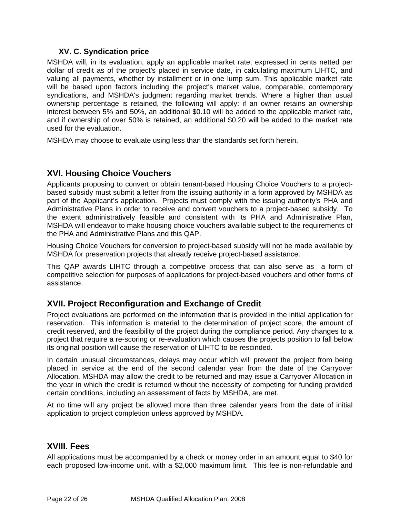## **XV. C. Syndication price**

<span id="page-21-0"></span>MSHDA will, in its evaluation, apply an applicable market rate, expressed in cents netted per dollar of credit as of the project's placed in service date, in calculating maximum LIHTC, and valuing all payments, whether by installment or in one lump sum. This applicable market rate will be based upon factors including the project's market value, comparable, contemporary syndications, and MSHDA's judgment regarding market trends. Where a higher than usual ownership percentage is retained, the following will apply: if an owner retains an ownership interest between 5% and 50%, an additional \$0.10 will be added to the applicable market rate, and if ownership of over 50% is retained, an additional \$0.20 will be added to the market rate used for the evaluation.

MSHDA may choose to evaluate using less than the standards set forth herein.

# **XVI. Housing Choice Vouchers**

Applicants proposing to convert or obtain tenant-based Housing Choice Vouchers to a projectbased subsidy must submit a letter from the issuing authority in a form approved by MSHDA as part of the Applicant's application. Projects must comply with the issuing authority's PHA and Administrative Plans in order to receive and convert vouchers to a project-based subsidy. To the extent administratively feasible and consistent with its PHA and Administrative Plan, MSHDA will endeavor to make housing choice vouchers available subject to the requirements of the PHA and Administrative Plans and this QAP.

Housing Choice Vouchers for conversion to project-based subsidy will not be made available by MSHDA for preservation projects that already receive project-based assistance.

This QAP awards LIHTC through a competitive process that can also serve as a form of competitive selection for purposes of applications for project-based vouchers and other forms of assistance.

## **XVII. Project Reconfiguration and Exchange of Credit**

Project evaluations are performed on the information that is provided in the initial application for reservation. This information is material to the determination of project score, the amount of credit reserved, and the feasibility of the project during the compliance period. Any changes to a project that require a re-scoring or re-evaluation which causes the projects position to fall below its original position will cause the reservation of LIHTC to be rescinded.

In certain unusual circumstances, delays may occur which will prevent the project from being placed in service at the end of the second calendar year from the date of the Carryover Allocation. MSHDA may allow the credit to be returned and may issue a Carryover Allocation in the year in which the credit is returned without the necessity of competing for funding provided certain conditions, including an assessment of facts by MSHDA, are met.

At no time will any project be allowed more than three calendar years from the date of initial application to project completion unless approved by MSHDA.

# **XVIII. Fees**

All applications must be accompanied by a check or money order in an amount equal to \$40 for each proposed low-income unit, with a \$2,000 maximum limit. This fee is non-refundable and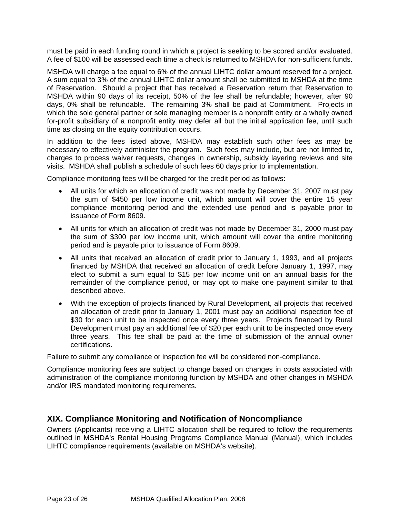<span id="page-22-0"></span>must be paid in each funding round in which a project is seeking to be scored and/or evaluated. A fee of \$100 will be assessed each time a check is returned to MSHDA for non-sufficient funds.

MSHDA will charge a fee equal to 6% of the annual LIHTC dollar amount reserved for a project. A sum equal to 3% of the annual LIHTC dollar amount shall be submitted to MSHDA at the time of Reservation. Should a project that has received a Reservation return that Reservation to MSHDA within 90 days of its receipt, 50% of the fee shall be refundable; however, after 90 days, 0% shall be refundable. The remaining 3% shall be paid at Commitment. Projects in which the sole general partner or sole managing member is a nonprofit entity or a wholly owned for-profit subsidiary of a nonprofit entity may defer all but the initial application fee, until such time as closing on the equity contribution occurs.

In addition to the fees listed above, MSHDA may establish such other fees as may be necessary to effectively administer the program. Such fees may include, but are not limited to, charges to process waiver requests, changes in ownership, subsidy layering reviews and site visits. MSHDA shall publish a schedule of such fees 60 days prior to implementation.

Compliance monitoring fees will be charged for the credit period as follows:

- All units for which an allocation of credit was not made by December 31, 2007 must pay the sum of \$450 per low income unit, which amount will cover the entire 15 year compliance monitoring period and the extended use period and is payable prior to issuance of Form 8609.
- All units for which an allocation of credit was not made by December 31, 2000 must pay the sum of \$300 per low income unit, which amount will cover the entire monitoring period and is payable prior to issuance of Form 8609.
- All units that received an allocation of credit prior to January 1, 1993, and all projects financed by MSHDA that received an allocation of credit before January 1, 1997, may elect to submit a sum equal to \$15 per low income unit on an annual basis for the remainder of the compliance period, or may opt to make one payment similar to that described above.
- With the exception of projects financed by Rural Development, all projects that received an allocation of credit prior to January 1, 2001 must pay an additional inspection fee of \$30 for each unit to be inspected once every three years. Projects financed by Rural Development must pay an additional fee of \$20 per each unit to be inspected once every three years. This fee shall be paid at the time of submission of the annual owner certifications.

Failure to submit any compliance or inspection fee will be considered non-compliance.

Compliance monitoring fees are subject to change based on changes in costs associated with administration of the compliance monitoring function by MSHDA and other changes in MSHDA and/or IRS mandated monitoring requirements.

## **XIX. Compliance Monitoring and Notification of Noncompliance**

Owners (Applicants) receiving a LIHTC allocation shall be required to follow the requirements outlined in MSHDA's Rental Housing Programs Compliance Manual (Manual), which includes LIHTC compliance requirements (available on MSHDA's website).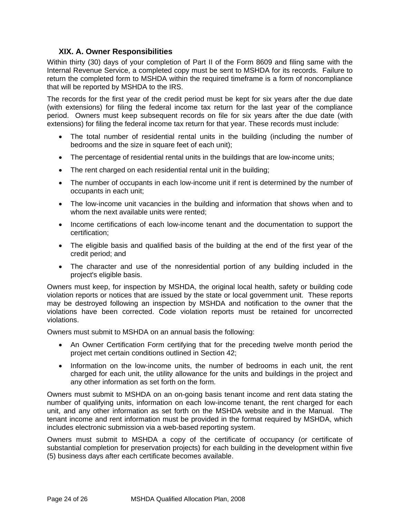## **XIX. A. Owner Responsibilities**

<span id="page-23-0"></span>Within thirty (30) days of your completion of Part II of the Form 8609 and filing same with the Internal Revenue Service, a completed copy must be sent to MSHDA for its records. Failure to return the completed form to MSHDA within the required timeframe is a form of noncompliance that will be reported by MSHDA to the IRS.

The records for the first year of the credit period must be kept for six years after the due date (with extensions) for filing the federal income tax return for the last year of the compliance period. Owners must keep subsequent records on file for six years after the due date (with extensions) for filing the federal income tax return for that year. These records must include:

- The total number of residential rental units in the building (including the number of bedrooms and the size in square feet of each unit);
- The percentage of residential rental units in the buildings that are low-income units;
- The rent charged on each residential rental unit in the building;
- The number of occupants in each low-income unit if rent is determined by the number of occupants in each unit;
- The low-income unit vacancies in the building and information that shows when and to whom the next available units were rented;
- Income certifications of each low-income tenant and the documentation to support the certification;
- The eligible basis and qualified basis of the building at the end of the first year of the credit period; and
- The character and use of the nonresidential portion of any building included in the project's eligible basis.

Owners must keep, for inspection by MSHDA, the original local health, safety or building code violation reports or notices that are issued by the state or local government unit. These reports may be destroyed following an inspection by MSHDA and notification to the owner that the violations have been corrected. Code violation reports must be retained for uncorrected violations.

Owners must submit to MSHDA on an annual basis the following:

- An Owner Certification Form certifying that for the preceding twelve month period the project met certain conditions outlined in Section 42;
- Information on the low-income units, the number of bedrooms in each unit, the rent charged for each unit, the utility allowance for the units and buildings in the project and any other information as set forth on the form.

Owners must submit to MSHDA on an on-going basis tenant income and rent data stating the number of qualifying units, information on each low-income tenant, the rent charged for each unit, and any other information as set forth on the MSHDA website and in the Manual. The tenant income and rent information must be provided in the format required by MSHDA, which includes electronic submission via a web-based reporting system.

Owners must submit to MSHDA a copy of the certificate of occupancy (or certificate of substantial completion for preservation projects) for each building in the development within five (5) business days after each certificate becomes available.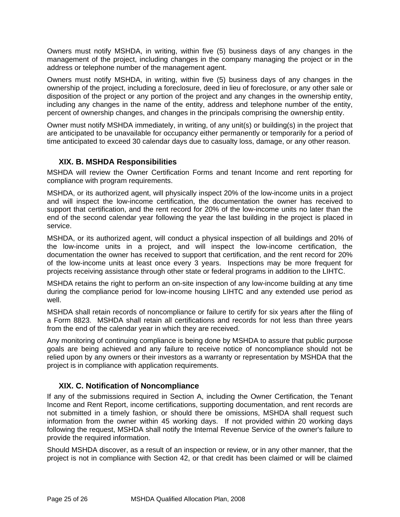<span id="page-24-0"></span>Owners must notify MSHDA, in writing, within five (5) business days of any changes in the management of the project, including changes in the company managing the project or in the address or telephone number of the management agent.

Owners must notify MSHDA, in writing, within five (5) business days of any changes in the ownership of the project, including a foreclosure, deed in lieu of foreclosure, or any other sale or disposition of the project or any portion of the project and any changes in the ownership entity, including any changes in the name of the entity, address and telephone number of the entity, percent of ownership changes, and changes in the principals comprising the ownership entity.

Owner must notify MSHDA immediately, in writing, of any unit(s) or building(s) in the project that are anticipated to be unavailable for occupancy either permanently or temporarily for a period of time anticipated to exceed 30 calendar days due to casualty loss, damage, or any other reason.

## **XIX. B. MSHDA Responsibilities**

MSHDA will review the Owner Certification Forms and tenant Income and rent reporting for compliance with program requirements.

MSHDA, or its authorized agent, will physically inspect 20% of the low-income units in a project and will inspect the low-income certification, the documentation the owner has received to support that certification, and the rent record for 20% of the low-income units no later than the end of the second calendar year following the year the last building in the project is placed in service.

MSHDA, or its authorized agent, will conduct a physical inspection of all buildings and 20% of the low-income units in a project, and will inspect the low-income certification, the documentation the owner has received to support that certification, and the rent record for 20% of the low-income units at least once every 3 years. Inspections may be more frequent for projects receiving assistance through other state or federal programs in addition to the LIHTC.

MSHDA retains the right to perform an on-site inspection of any low-income building at any time during the compliance period for low-income housing LIHTC and any extended use period as well.

MSHDA shall retain records of noncompliance or failure to certify for six years after the filing of a Form 8823. MSHDA shall retain all certifications and records for not less than three years from the end of the calendar year in which they are received.

Any monitoring of continuing compliance is being done by MSHDA to assure that public purpose goals are being achieved and any failure to receive notice of noncompliance should not be relied upon by any owners or their investors as a warranty or representation by MSHDA that the project is in compliance with application requirements.

## **XIX. C. Notification of Noncompliance**

If any of the submissions required in Section A, including the Owner Certification, the Tenant Income and Rent Report, income certifications, supporting documentation, and rent records are not submitted in a timely fashion, or should there be omissions, MSHDA shall request such information from the owner within 45 working days. If not provided within 20 working days following the request, MSHDA shall notify the Internal Revenue Service of the owner's failure to provide the required information.

Should MSHDA discover, as a result of an inspection or review, or in any other manner, that the project is not in compliance with Section 42, or that credit has been claimed or will be claimed